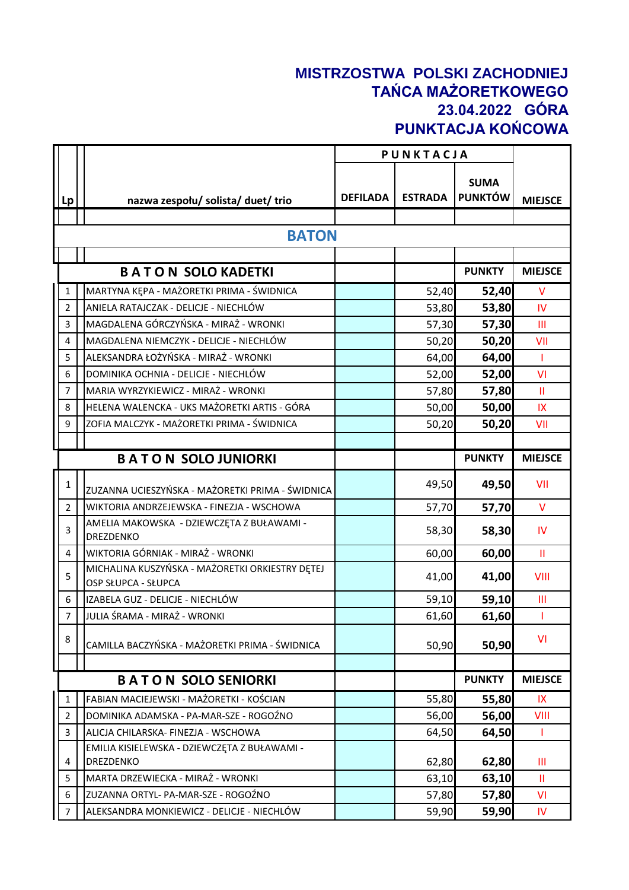## **MISTRZOSTWA POLSKI ZACHODNIEJ TAŃCA MAŻORETKOWEGO 23.04.2022 GÓRA PUNKTACJA KOŃCOWA**

|                |                                                                               |                 | PUNKTACJA      |                               |                |
|----------------|-------------------------------------------------------------------------------|-----------------|----------------|-------------------------------|----------------|
| Lp             | nazwa zespołu/ solista/ duet/ trio                                            | <b>DEFILADA</b> | <b>ESTRADA</b> | <b>SUMA</b><br><b>PUNKTÓW</b> | <b>MIEJSCE</b> |
|                |                                                                               |                 |                |                               |                |
|                | <b>BATON</b>                                                                  |                 |                |                               |                |
|                |                                                                               |                 |                |                               |                |
|                | <b>BATON SOLO KADETKI</b>                                                     |                 |                | <b>PUNKTY</b>                 | <b>MIEJSCE</b> |
| $\mathbf{1}$   | MARTYNA KĘPA - MAŻORETKI PRIMA - ŚWIDNICA                                     |                 | 52,40          | 52,40                         | $\vee$         |
| $\overline{2}$ | ANIELA RATAJCZAK - DELICJE - NIECHLÓW                                         |                 | 53,80          | 53,80                         | <b>IV</b>      |
| 3              | MAGDALENA GÓRCZYŃSKA - MIRAŻ - WRONKI                                         |                 | 57,30          | 57,30                         | Ш              |
| $\overline{4}$ | MAGDALENA NIEMCZYK - DELICJE - NIECHLÓW                                       |                 | 50,20          | 50,20                         | VII            |
| 5              | ALEKSANDRA ŁOŻYŃSKA - MIRAŻ - WRONKI                                          |                 | 64,00          | 64,00                         | $\mathbf{I}$   |
| 6              | DOMINIKA OCHNIA - DELICJE - NIECHLÓW                                          |                 | 52,00          | 52,00                         | VI             |
| $\overline{7}$ | MARIA WYRZYKIEWICZ - MIRAŻ - WRONKI                                           |                 | 57,80          | 57,80                         | $\mathbf{H}$   |
| 8              | HELENA WALENCKA - UKS MAŻORETKI ARTIS - GÓRA                                  |                 | 50,00          | 50,00                         | IX             |
| 9              | ZOFIA MALCZYK - MAŻORETKI PRIMA - ŚWIDNICA                                    |                 | 50,20          | 50,20                         | VII            |
|                |                                                                               |                 |                |                               |                |
|                | <b>BATON SOLO JUNIORKI</b>                                                    |                 |                | <b>PUNKTY</b>                 | <b>MIEJSCE</b> |
| 1              | ZUZANNA UCIESZYŃSKA - MAŻORETKI PRIMA - ŚWIDNICA                              |                 | 49,50          | 49,50                         | VII            |
| $\overline{2}$ | WIKTORIA ANDRZEJEWSKA - FINEZJA - WSCHOWA                                     |                 | 57,70          | 57,70                         | $\vee$         |
| 3              | AMELIA MAKOWSKA - DZIEWCZĘTA Z BUŁAWAMI -<br>DREZDENKO                        |                 | 58,30          | 58,30                         | IV             |
| 4              | WIKTORIA GÓRNIAK - MIRAŻ - WRONKI                                             |                 | 60,00          | 60,00                         | $\mathbf{H}$   |
| 5              | MICHALINA KUSZYŃSKA - MAŻORETKI ORKIESTRY DĘTEJ<br><b>OSP SŁUPCA - SŁUPCA</b> |                 | 41,00          | 41,00                         | VIII           |
| 6              | IZABELA GUZ - DELICJE - NIECHLÓW                                              |                 | 59,10          | 59,10                         | Ш              |
| $\overline{7}$ | JULIA ŚRAMA - MIRAŻ - WRONKI                                                  |                 | 61,60          | 61,60                         | Л.             |
| 8              | CAMILLA BACZYŃSKA - MAŻORETKI PRIMA - ŚWIDNICA                                |                 | 50,90          | 50,90                         | VI             |
|                |                                                                               |                 |                |                               |                |
|                | <b>BATON SOLO SENIORKI</b>                                                    |                 |                | <b>PUNKTY</b>                 | <b>MIEJSCE</b> |
| $\mathbf{1}$   | FABIAN MACIEJEWSKI - MAŻORETKI - KOŚCIAN                                      |                 | 55,80          | 55,80                         | IX             |
| $\overline{2}$ | DOMINIKA ADAMSKA - PA-MAR-SZE - ROGOŹNO                                       |                 | 56,00          | 56,00                         | VIII           |
| 3              | ALICJA CHILARSKA- FINEZJA - WSCHOWA                                           |                 | 64,50          | 64,50                         | T              |
| 4              | EMILIA KISIELEWSKA - DZIEWCZĘTA Z BUŁAWAMI -<br>DREZDENKO                     |                 | 62,80          | 62,80                         | Ш              |
| 5              | MARTA DRZEWIECKA - MIRAŻ - WRONKI                                             |                 | 63,10          | 63,10                         | Ш              |
| 6              | ZUZANNA ORTYL- PA-MAR-SZE - ROGOŹNO                                           |                 | 57,80          | 57,80                         | VI             |
| $\overline{7}$ | ALEKSANDRA MONKIEWICZ - DELICJE - NIECHLÓW                                    |                 | 59,90          | 59,90                         | $\mathsf{IV}$  |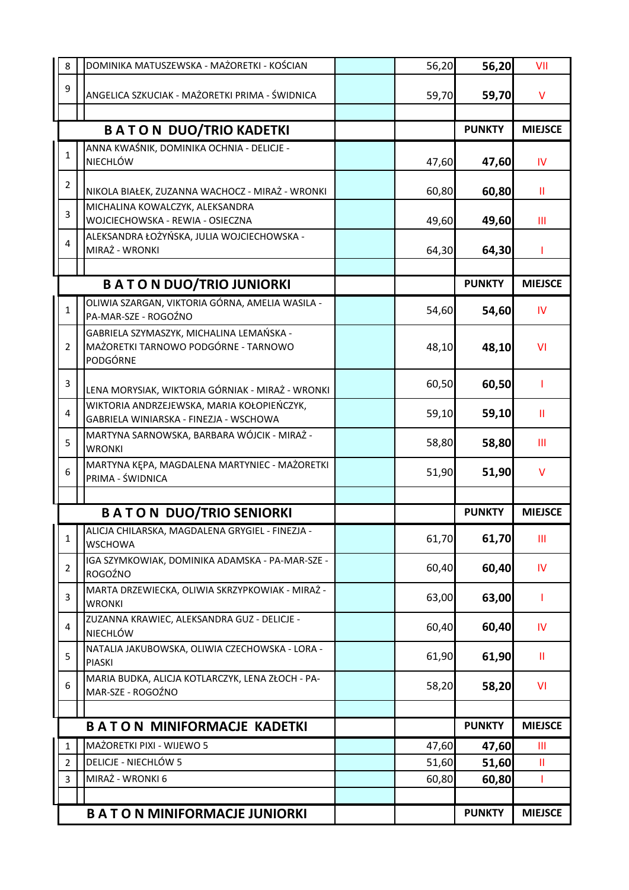| 8              | DOMINIKA MATUSZEWSKA - MAŻORETKI - KOŚCIAN                                           | 56,20 | 56,20         | VII            |
|----------------|--------------------------------------------------------------------------------------|-------|---------------|----------------|
| 9              | ANGELICA SZKUCIAK - MAŻORETKI PRIMA - ŚWIDNICA                                       | 59,70 | 59,70         | V              |
|                |                                                                                      |       |               |                |
|                | <b>BATON DUO/TRIO KADETKI</b>                                                        |       | <b>PUNKTY</b> | <b>MIEJSCE</b> |
| 1              | ANNA KWAŚNIK, DOMINIKA OCHNIA - DELICJE -                                            |       |               |                |
|                | NIECHLÓW                                                                             | 47,60 | 47,60         | IV             |
| $\overline{2}$ | NIKOLA BIAŁEK, ZUZANNA WACHOCZ - MIRAŻ - WRONKI                                      | 60,80 | 60,80         | Ш              |
| 3              | MICHALINA KOWALCZYK, ALEKSANDRA                                                      |       |               |                |
|                | WOJCIECHOWSKA - REWIA - OSIECZNA                                                     | 49,60 | 49,60         | Ш              |
| 4              | ALEKSANDRA ŁOŻYŃSKA, JULIA WOJCIECHOWSKA -<br>MIRAŻ - WRONKI                         |       |               |                |
|                |                                                                                      | 64,30 | 64,30         | ı              |
|                | <b>BATON DUO/TRIO JUNIORKI</b>                                                       |       | <b>PUNKTY</b> | <b>MIEJSCE</b> |
|                | OLIWIA SZARGAN, VIKTORIA GÓRNA, AMELIA WASILA -                                      |       |               |                |
| $\mathbf{1}$   | PA-MAR-SZE - ROGOŹNO                                                                 | 54,60 | 54,60         | IV             |
|                | GABRIELA SZYMASZYK, MICHALINA LEMAŃSKA -                                             |       |               |                |
| $\overline{2}$ | MAŻORETKI TARNOWO PODGÓRNE - TARNOWO<br>PODGÓRNE                                     | 48,10 | 48,10         | <b>VI</b>      |
|                |                                                                                      |       |               |                |
| 3              | LENA MORYSIAK, WIKTORIA GÓRNIAK - MIRAŻ - WRONKI                                     | 60,50 | 60,50         | ı              |
| $\overline{4}$ | WIKTORIA ANDRZEJEWSKA, MARIA KOŁOPIEŃCZYK,<br>GABRIELA WINIARSKA - FINEZJA - WSCHOWA | 59,10 | 59,10         | Ш              |
|                | MARTYNA SARNOWSKA, BARBARA WÓJCIK - MIRAŻ -                                          |       |               |                |
| 5              | <b>WRONKI</b>                                                                        | 58,80 | 58,80         | Ш              |
| 6              | MARTYNA KĘPA, MAGDALENA MARTYNIEC - MAŻORETKI                                        | 51,90 | 51,90         | V              |
|                | PRIMA - ŚWIDNICA                                                                     |       |               |                |
|                | <b>BATON DUO/TRIO SENIORKI</b>                                                       |       | <b>PUNKTY</b> | <b>MIEJSCE</b> |
|                | ALICJA CHILARSKA, MAGDALENA GRYGIEL - FINEZJA -                                      |       |               |                |
| 1              | <b>WSCHOWA</b>                                                                       | 61,70 | 61,70         | $\mathbf{III}$ |
| $\overline{2}$ | IGA SZYMKOWIAK, DOMINIKA ADAMSKA - PA-MAR-SZE -<br>ROGOŹNO                           | 60,40 | 60,40         | IV             |
|                | MARTA DRZEWIECKA, OLIWIA SKRZYPKOWIAK - MIRAŻ -                                      |       |               |                |
| 3              | <b>WRONKI</b>                                                                        | 63,00 | 63,00         | ı              |
| 4              | ZUZANNA KRAWIEC, ALEKSANDRA GUZ - DELICJE -                                          | 60,40 | 60,40         | <b>IV</b>      |
|                | <b>NIECHLÓW</b><br>NATALIA JAKUBOWSKA, OLIWIA CZECHOWSKA - LORA -                    |       |               |                |
| 5              | <b>PIASKI</b>                                                                        | 61,90 | 61,90         | Ш              |
| 6              | MARIA BUDKA, ALICJA KOTLARCZYK, LENA ZŁOCH - PA-<br>MAR-SZE - ROGOŹNO                | 58,20 | 58,20         | <b>VI</b>      |
|                |                                                                                      |       |               |                |
|                | <b>BATON MINIFORMACJE KADETKI</b>                                                    |       | <b>PUNKTY</b> | <b>MIEJSCE</b> |
| $\mathbf{1}$   | MAŻORETKI PIXI - WIJEWO 5                                                            | 47,60 | 47,60         | Ш              |
| $\overline{2}$ | DELICJE - NIECHLÓW 5                                                                 | 51,60 | 51,60         | Ш              |
| 3              | MIRAŻ - WRONKI 6                                                                     | 60,80 | 60,80         |                |
|                |                                                                                      |       |               |                |
|                | <b>BATON MINIFORMACJE JUNIORKI</b>                                                   |       | <b>PUNKTY</b> | <b>MIEJSCE</b> |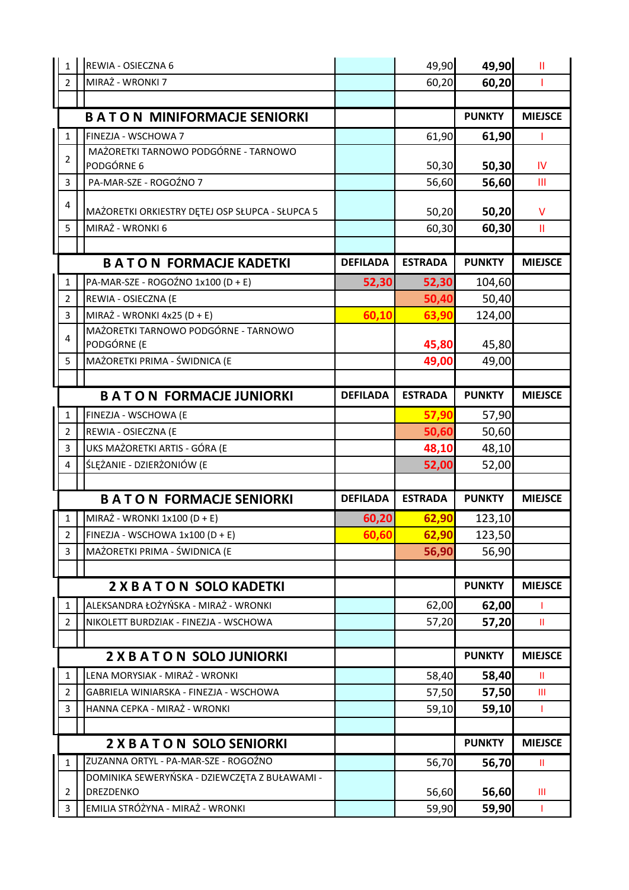| $1\,$                   | REWIA - OSIECZNA 6                                  |                 | 49,90          | 49,90         | Ш              |
|-------------------------|-----------------------------------------------------|-----------------|----------------|---------------|----------------|
| $\overline{2}$          | MIRAŻ - WRONKI 7                                    |                 | 60,20          | 60,20         |                |
|                         |                                                     |                 |                |               |                |
|                         | <b>BATON MINIFORMACJE SENIORKI</b>                  |                 |                | <b>PUNKTY</b> | <b>MIEJSCE</b> |
| $\mathbf{1}$            | FINEZJA - WSCHOWA 7                                 |                 | 61,90          | 61,90         | -1             |
| 2                       | MAŻORETKI TARNOWO PODGÓRNE - TARNOWO<br>PODGÓRNE 6  |                 | 50,30          | 50,30         | IV.            |
| $\overline{3}$          | PA-MAR-SZE - ROGOŹNO 7                              |                 | 56,60          | 56,60         | Ш              |
| 4                       | MAŻORETKI ORKIESTRY DĘTEJ OSP SŁUPCA - SŁUPCA 5     |                 | 50,20          | 50,20         | V              |
| 5                       | MIRAŻ - WRONKI 6                                    |                 | 60,30          | 60,30         | $\mathbf{II}$  |
|                         |                                                     |                 |                |               |                |
|                         | <b>BATON FORMACJE KADETKI</b>                       | <b>DEFILADA</b> | <b>ESTRADA</b> | <b>PUNKTY</b> | <b>MIEJSCE</b> |
| $\mathbf{1}$            | PA-MAR-SZE - ROGOŹNO 1x100 (D + E)                  | 52,30           | 52,30          | 104,60        |                |
| $\overline{2}$          | REWIA - OSIECZNA (E                                 |                 | 50,40          | 50,40         |                |
| 3                       | MIRAŻ - WRONKI 4x25 (D + E)                         | 60,10           | 63,90          | 124,00        |                |
| 4                       | MAŻORETKI TARNOWO PODGÓRNE - TARNOWO<br>PODGÓRNE (E |                 | 45,80          | 45,80         |                |
| 5                       | MAŻORETKI PRIMA - ŚWIDNICA (E                       |                 | 49,00          | 49,00         |                |
|                         |                                                     |                 |                |               |                |
|                         | <b>BATON FORMACJE JUNIORKI</b>                      | <b>DEFILADA</b> | <b>ESTRADA</b> | <b>PUNKTY</b> | <b>MIEJSCE</b> |
| 1                       | FINEZJA - WSCHOWA (E                                |                 | 57,90          | 57,90         |                |
| $\overline{2}$          | REWIA - OSIECZNA (E                                 |                 | 50,60          | 50,60         |                |
| $\overline{\mathbf{3}}$ | UKS MAŻORETKI ARTIS - GÓRA (E                       |                 | 48,10          | 48,10         |                |
| $\overline{\mathbf{4}}$ | ŚLĘŻANIE - DZIERŻONIÓW (E                           |                 | 52,00          | 52,00         |                |
|                         |                                                     |                 |                |               |                |
|                         | <b>BATON FORMACJE SENIORKI</b>                      | <b>DEFILADA</b> | <b>ESTRADA</b> | <b>PUNKTY</b> | <b>MIEJSCE</b> |
| 1                       | MIRAŻ - WRONKI 1x100 (D + E)                        | 60,20           | 62,90          | 123,10        |                |
| 2                       | FINEZJA - WSCHOWA 1x100 (D + E)                     | 60,60           | 62,90          | 123,50        |                |
| $\overline{3}$          | MAŻORETKI PRIMA - ŚWIDNICA (E                       |                 | 56,90          | 56,90         |                |
|                         |                                                     |                 |                |               |                |
|                         | <b>2 X B A T O N SOLO KADETKI</b>                   |                 |                | <b>PUNKTY</b> | <b>MIEJSCE</b> |
| $\mathbf{1}$            | ALEKSANDRA ŁOŻYŃSKA - MIRAŻ - WRONKI                |                 | 62,00          | 62,00         |                |
| $\overline{2}$          | NIKOLETT BURDZIAK - FINEZJA - WSCHOWA               |                 | 57,20          | 57,20         | $\mathbf{H}$   |
|                         |                                                     |                 |                |               |                |
|                         | <b>2 X B A T O N SOLO JUNIORKI</b>                  |                 |                | <b>PUNKTY</b> | <b>MIEJSCE</b> |
| $\mathbf{1}$            | LENA MORYSIAK - MIRAŻ - WRONKI                      |                 | 58,40          | 58,40         | Ш              |
| $\overline{2}$          | GABRIELA WINIARSKA - FINEZJA - WSCHOWA              |                 | 57,50          | 57,50         | Ш              |
| 3                       | HANNA CEPKA - MIRAŻ - WRONKI                        |                 | 59,10          | 59,10         |                |
|                         | <b>2 X B A T O N SOLO SENIORKI</b>                  |                 |                | <b>PUNKTY</b> | <b>MIEJSCE</b> |
|                         | ZUZANNA ORTYL - PA-MAR-SZE - ROGOŹNO                |                 |                |               |                |
| $\mathbf{1}$            | DOMINIKA SEWERYŃSKA - DZIEWCZĘTA Z BUŁAWAMI -       |                 | 56,70          | 56,70         | Ш              |
| $\overline{2}$          | DREZDENKO                                           |                 | 56,60          | 56,60         | Ш              |
| $\overline{3}$          | EMILIA STRÓŻYNA - MIRAŻ - WRONKI                    |                 | 59,90          | 59,90         | J.             |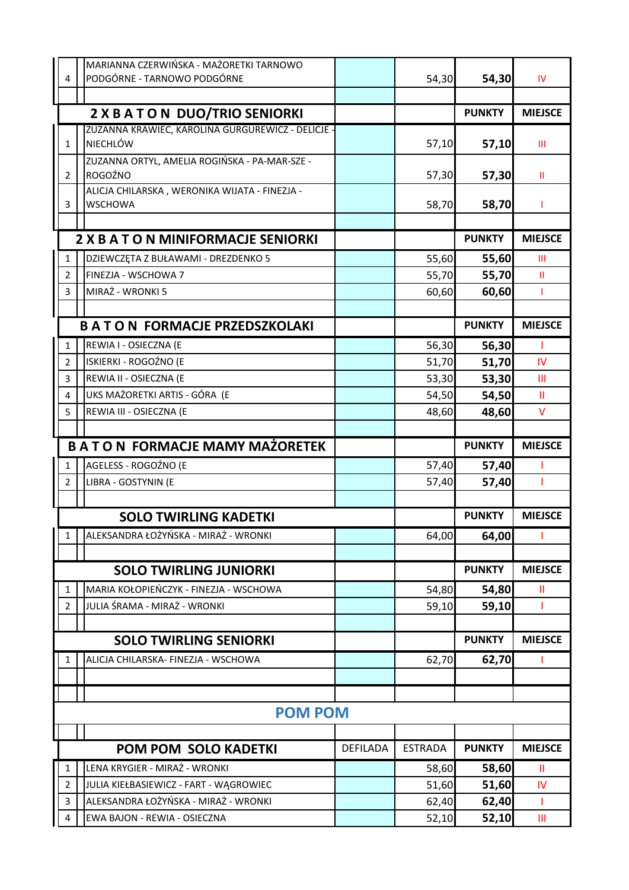|                         | MARIANNA CZERWIŃSKA - MAŻORETKI TARNOWO                         |                 |                |               |                |
|-------------------------|-----------------------------------------------------------------|-----------------|----------------|---------------|----------------|
| 4                       | PODGÓRNE - TARNOWO PODGÓRNE                                     |                 | 54,30          | 54,30         | IV             |
|                         |                                                                 |                 |                |               |                |
|                         | 2 X B A T O N DUO/TRIO SENIORKI                                 |                 |                | <b>PUNKTY</b> | <b>MIEJSCE</b> |
|                         | ZUZANNA KRAWIEC, KAROLINA GURGUREWICZ - DELICJE -               |                 |                |               |                |
| $\mathbf{1}$            | <b>NIECHLÓW</b>                                                 |                 | 57,10          | 57,10         | Ш              |
|                         | ZUZANNA ORTYL, AMELIA ROGIŃSKA - PA-MAR-SZE -                   |                 |                |               |                |
| $\overline{2}$          | ROGOŹNO                                                         |                 | 57,30          | 57,30         | Ш              |
|                         | ALICJA CHILARSKA, WERONIKA WIJATA - FINEZJA -<br><b>WSCHOWA</b> |                 |                |               |                |
| 3                       |                                                                 |                 | 58,70          | 58,70         | 1              |
|                         |                                                                 |                 |                |               |                |
|                         | <b>2 X B A T O N MINIFORMACJE SENIORKI</b>                      |                 |                | <b>PUNKTY</b> | <b>MIEJSCE</b> |
| $\mathbf{1}$            | DZIEWCZĘTA Z BUŁAWAMI - DREZDENKO 5                             |                 | 55,60          | 55,60         | Ш              |
| $\overline{2}$          | FINEZJA - WSCHOWA 7                                             |                 | 55,70          | 55,70         | Ш              |
| $\overline{3}$          | MIRAŻ - WRONKI 5                                                |                 | 60,60          | 60,60         | $\mathbf{I}$   |
|                         |                                                                 |                 |                |               |                |
|                         | <b>BATON FORMACJE PRZEDSZKOLAKI</b>                             |                 |                | <b>PUNKTY</b> | <b>MIEJSCE</b> |
| $\mathbf 1$             | REWIA I - OSIECZNA (E                                           |                 | 56,30          | 56,30         | -1             |
| $\overline{2}$          | ISKIERKI - ROGOŹNO (E                                           |                 | 51,70          | 51,70         | IV             |
| $\overline{3}$          | REWIA II - OSIECZNA (E                                          |                 | 53,30          | 53,30         | $\mathbf{m}$   |
| $\overline{\mathbf{4}}$ | UKS MAŻORETKI ARTIS - GÓRA (E                                   |                 | 54,50          | 54,50         | Ш              |
| 5                       | REWIA III - OSIECZNA (E                                         |                 | 48,60          | 48,60         | $\vee$         |
|                         |                                                                 |                 |                |               |                |
|                         | <b>BATON FORMACJE MAMY MAŻORETEK</b>                            |                 |                | <b>PUNKTY</b> | <b>MIEJSCE</b> |
| $\mathbf{1}$            | AGELESS - ROGOŹNO (E                                            |                 | 57,40          | 57,40         |                |
| $\overline{2}$          | LIBRA - GOSTYNIN (E                                             |                 | 57,40          | 57,40         | 1              |
|                         |                                                                 |                 |                |               |                |
|                         | <b>SOLO TWIRLING KADETKI</b>                                    |                 |                | <b>PUNKTY</b> | <b>MIEJSCE</b> |
| 1                       | ALEKSANDRA ŁOŻYŃSKA - MIRAŻ - WRONKI                            |                 | 64,00          | 64,00         | T              |
|                         |                                                                 |                 |                |               |                |
|                         | <b>SOLO TWIRLING JUNIORKI</b>                                   |                 |                | <b>PUNKTY</b> | <b>MIEJSCE</b> |
| 1                       | MARIA KOŁOPIEŃCZYK - FINEZJA - WSCHOWA                          |                 | 54,80          | 54,80         | Ш              |
| $\overline{2}$          | JULIA ŚRAMA - MIRAŻ - WRONKI                                    |                 | 59,10          | 59,10         | -1             |
|                         |                                                                 |                 |                |               |                |
|                         | <b>SOLO TWIRLING SENIORKI</b>                                   |                 |                | <b>PUNKTY</b> | <b>MIEJSCE</b> |
| 1                       | ALICJA CHILARSKA- FINEZJA - WSCHOWA                             |                 | 62,70          | 62,70         | T              |
|                         |                                                                 |                 |                |               |                |
|                         |                                                                 |                 |                |               |                |
|                         | <b>POM POM</b>                                                  |                 |                |               |                |
|                         |                                                                 |                 |                |               |                |
|                         | <b>POM POM SOLO KADETKI</b>                                     | <b>DEFILADA</b> | <b>ESTRADA</b> | <b>PUNKTY</b> | <b>MIEJSCE</b> |
| 1                       | LENA KRYGIER - MIRAŻ - WRONKI                                   |                 | 58,60          | 58,60         | Ш              |
| $\overline{2}$          | JULIA KIEŁBASIEWICZ - FART - WĄGROWIEC                          |                 | 51,60          | 51,60         | <b>IV</b>      |
| 3                       | ALEKSANDRA ŁOŻYŃSKA - MIRAŻ - WRONKI                            |                 | 62,40          | 62,40         | -1             |
| 4                       | EWA BAJON - REWIA - OSIECZNA                                    |                 | 52,10          | 52,10         | Ш              |
|                         |                                                                 |                 |                |               |                |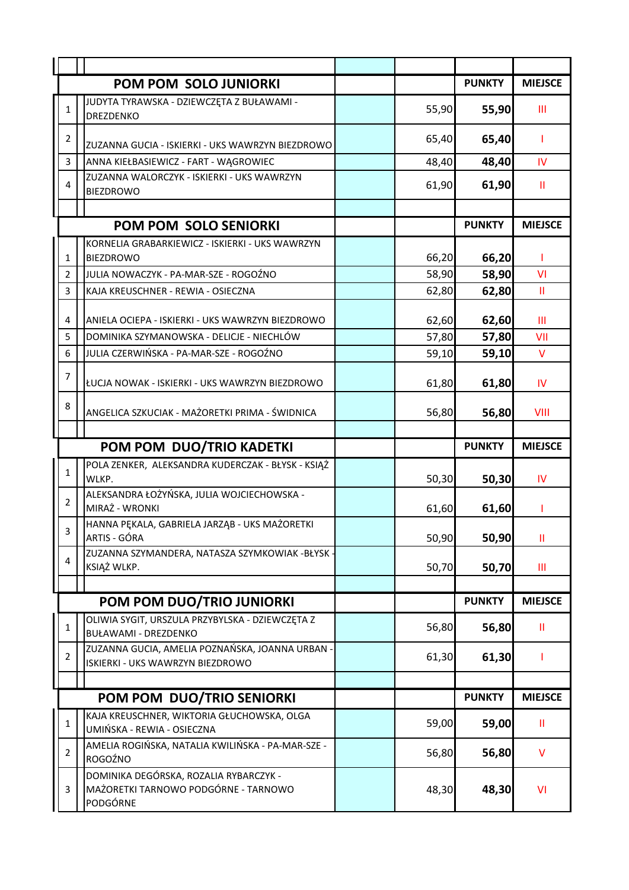|                | POM POM SOLO JUNIORKI                                                             |       | <b>PUNKTY</b> | <b>MIEJSCE</b> |
|----------------|-----------------------------------------------------------------------------------|-------|---------------|----------------|
| 1              | JUDYTA TYRAWSKA - DZIEWCZĘTA Z BUŁAWAMI -<br><b>DREZDENKO</b>                     | 55,90 | 55,90         | Ш              |
| $\overline{2}$ | ZUZANNA GUCIA - ISKIERKI - UKS WAWRZYN BIEZDROWO                                  | 65,40 | 65,40         | 1              |
| $\overline{3}$ | ANNA KIEŁBASIEWICZ - FART - WĄGROWIEC                                             | 48,40 | 48,40         | IV             |
| 4              | ZUZANNA WALORCZYK - ISKIERKI - UKS WAWRZYN<br><b>BIEZDROWO</b>                    | 61,90 | 61,90         | Ш              |
|                |                                                                                   |       |               |                |
|                | POM POM SOLO SENIORKI                                                             |       | <b>PUNKTY</b> | <b>MIEJSCE</b> |
| $\mathbf{1}$   | KORNELIA GRABARKIEWICZ - ISKIERKI - UKS WAWRZYN<br><b>BIEZDROWO</b>               | 66,20 | 66,20         |                |
| $\overline{2}$ | JULIA NOWACZYK - PA-MAR-SZE - ROGOŹNO                                             | 58,90 | 58,90         | VI             |
| $\overline{3}$ | KAJA KREUSCHNER - REWIA - OSIECZNA                                                | 62,80 | 62,80         | $\mathbf{II}$  |
| $\overline{4}$ | ANIELA OCIEPA - ISKIERKI - UKS WAWRZYN BIEZDROWO                                  | 62,60 | 62,60         | Ш              |
| 5              | DOMINIKA SZYMANOWSKA - DELICJE - NIECHLÓW                                         | 57,80 | 57,80         | VII            |
| 6              | JULIA CZERWIŃSKA - PA-MAR-SZE - ROGOŹNO                                           | 59,10 | 59,10         | V              |
| $\overline{7}$ | ŁUCJA NOWAK - ISKIERKI - UKS WAWRZYN BIEZDROWO                                    | 61,80 | 61,80         | IV             |
| 8              | ANGELICA SZKUCIAK - MAŻORETKI PRIMA - ŚWIDNICA                                    | 56,80 | 56,80         | VIII           |
|                |                                                                                   |       |               |                |
|                |                                                                                   |       |               |                |
|                | POM POM DUO/TRIO KADETKI                                                          |       | <b>PUNKTY</b> | <b>MIEJSCE</b> |
| $\mathbf{1}$   | POLA ZENKER, ALEKSANDRA KUDERCZAK - BŁYSK - KSIĄŻ<br>WLKP.                        | 50,30 | 50,30         | IV             |
| $\overline{2}$ | ALEKSANDRA ŁOŻYŃSKA, JULIA WOJCIECHOWSKA -<br>MIRAŻ - WRONKI                      | 61,60 | 61,60         |                |
| 3              | HANNA PEKALA, GABRIELA JARZĄB - UKS MAŻORETKI<br>ARTIS - GÓRA                     | 50,90 | 50,90         | $\mathbf{II}$  |
| 4              | ZUZANNA SZYMANDERA, NATASZA SZYMKOWIAK -BŁYSK ·<br>KSIĄŻ WLKP.                    | 50,70 | 50,70         | Ш              |
|                |                                                                                   |       |               |                |
|                | POM POM DUO/TRIO JUNIORKI                                                         |       | <b>PUNKTY</b> | <b>MIEJSCE</b> |
| $\mathbf{1}$   | OLIWIA SYGIT, URSZULA PRZYBYLSKA - DZIEWCZĘTA Z<br><b>BUŁAWAMI - DREZDENKO</b>    | 56,80 | 56,80         | Ш              |
| $\overline{2}$ | ZUZANNA GUCIA, AMELIA POZNAŃSKA, JOANNA URBAN<br>ISKIERKI - UKS WAWRZYN BIEZDROWO | 61,30 | 61,30         |                |
|                |                                                                                   |       |               |                |
|                | POM POM DUO/TRIO SENIORKI                                                         |       | <b>PUNKTY</b> | <b>MIEJSCE</b> |
| $\mathbf{1}$   | KAJA KREUSCHNER, WIKTORIA GŁUCHOWSKA, OLGA<br>UMIŃSKA - REWIA - OSIECZNA          | 59,00 | 59,00         | Ш              |
| $\overline{2}$ | AMELIA ROGIŃSKA, NATALIA KWILIŃSKA - PA-MAR-SZE -<br>ROGOŹNO                      | 56,80 | 56,80         | v              |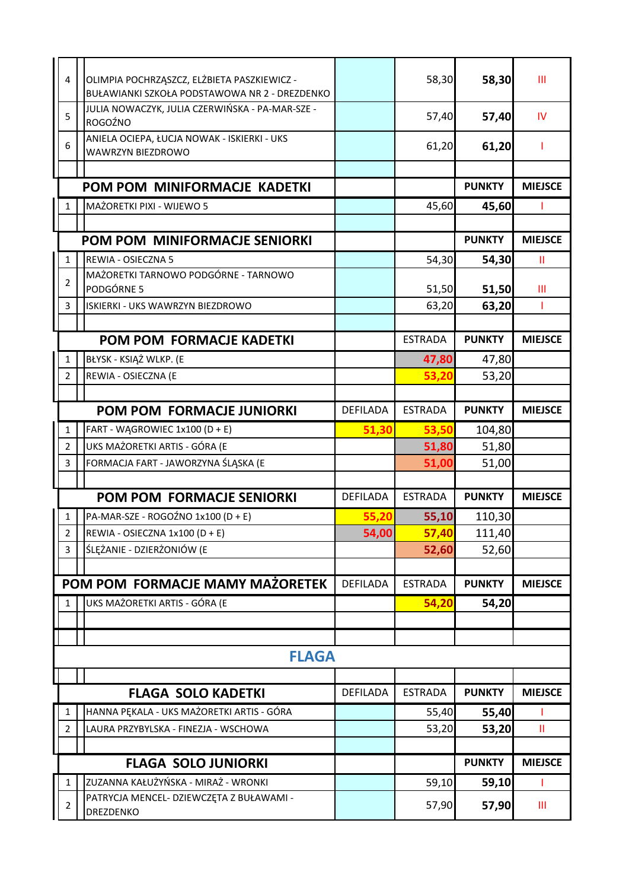|              | $\overline{\mathbf{4}}$ | OLIMPIA POCHRZĄSZCZ, ELŻBIETA PASZKIEWICZ -<br>BUŁAWIANKI SZKOŁA PODSTAWOWA NR 2 - DREZDENKO |                 | 58,30          | 58,30         | Ш              |
|--------------|-------------------------|----------------------------------------------------------------------------------------------|-----------------|----------------|---------------|----------------|
|              | 5                       | JULIA NOWACZYK, JULIA CZERWIŃSKA - PA-MAR-SZE -<br>ROGOŹNO                                   |                 | 57,40          | 57,40         | <b>IV</b>      |
|              | 6                       | ANIELA OCIEPA, ŁUCJA NOWAK - ISKIERKI - UKS<br>WAWRZYN BIEZDROWO                             |                 | 61,20          | 61,20         |                |
|              |                         |                                                                                              |                 |                |               |                |
|              |                         | POM POM MINIFORMACJE KADETKI                                                                 |                 |                | <b>PUNKTY</b> | <b>MIEJSCE</b> |
|              | 1                       | MAŻORETKI PIXI - WIJEWO 5                                                                    |                 | 45,60          | 45,60         |                |
|              |                         |                                                                                              |                 |                |               |                |
|              |                         | POM POM MINIFORMACJE SENIORKI                                                                |                 |                | <b>PUNKTY</b> | <b>MIEJSCE</b> |
|              | $\mathbf{1}$            | REWIA - OSIECZNA 5                                                                           |                 | 54,30          | 54,30         | Ш              |
|              | $\overline{2}$          | MAŻORETKI TARNOWO PODGÓRNE - TARNOWO<br>PODGÓRNE 5                                           |                 | 51,50          | 51,50         | Ш              |
|              | 3                       | ISKIERKI - UKS WAWRZYN BIEZDROWO                                                             |                 | 63,20          | 63,20         | $\mathbf{I}$   |
|              |                         |                                                                                              |                 |                |               |                |
|              |                         | POM POM FORMACJE KADETKI                                                                     |                 | <b>ESTRADA</b> | <b>PUNKTY</b> | <b>MIEJSCE</b> |
|              | 1                       | BŁYSK - KSIĄŻ WLKP. (E                                                                       |                 | 47,80          | 47,80         |                |
|              | $\overline{2}$          | REWIA - OSIECZNA (E                                                                          |                 | 53,20          | 53,20         |                |
|              |                         |                                                                                              |                 |                |               |                |
|              |                         | POM POM FORMACJE JUNIORKI                                                                    | <b>DEFILADA</b> | <b>ESTRADA</b> | <b>PUNKTY</b> | <b>MIEJSCE</b> |
|              | $\mathbf{1}$            | FART - WĄGROWIEC 1x100 (D + E)                                                               | 51,30           | 53,50          | 104,80        |                |
|              | $\overline{2}$          | UKS MAŻORETKI ARTIS - GÓRA (E                                                                |                 | 51,80          | 51,80         |                |
|              | $\overline{3}$          | FORMACJA FART - JAWORZYNA ŚLĄSKA (E                                                          |                 | 51,00          | 51,00         |                |
|              |                         |                                                                                              |                 |                |               |                |
|              |                         | POM POM FORMACJE SENIORKI                                                                    | <b>DEFILADA</b> | <b>ESTRADA</b> | <b>PUNKTY</b> | <b>MIEJSCE</b> |
|              | 1                       | PA-MAR-SZE - ROGOŹNO 1x100 (D + E)                                                           | 55,20           | 55,10          | 110,30        |                |
|              | $2 \mid$                | REWIA - OSIECZNA 1x100 (D + E)                                                               | 54,00           | 57,40          | 111,40        |                |
| $\mathbf{3}$ |                         | ŚLĘŻANIE - DZIERŻONIÓW (E                                                                    |                 | 52,60          | 52,60         |                |
|              |                         |                                                                                              |                 |                |               |                |
|              |                         | POM POM FORMACJE MAMY MAŻORETEK                                                              | <b>DEFILADA</b> | <b>ESTRADA</b> | <b>PUNKTY</b> | <b>MIEJSCE</b> |
|              | 1                       | UKS MAŻORETKI ARTIS - GÓRA (E                                                                |                 | 54,20          | 54,20         |                |
|              |                         |                                                                                              |                 |                |               |                |
|              |                         |                                                                                              |                 |                |               |                |
|              |                         | <b>FLAGA</b>                                                                                 |                 |                |               |                |
|              |                         |                                                                                              |                 |                |               |                |
|              |                         | <b>FLAGA SOLO KADETKI</b>                                                                    | <b>DEFILADA</b> | <b>ESTRADA</b> | <b>PUNKTY</b> | <b>MIEJSCE</b> |
|              | 1                       | HANNA PĘKALA - UKS MAŻORETKI ARTIS - GÓRA                                                    |                 | 55,40          | 55,40         |                |
|              | $\overline{2}$          | LAURA PRZYBYLSKA - FINEZJA - WSCHOWA                                                         |                 | 53,20          | 53,20         | $\mathbf{H}$   |
|              |                         |                                                                                              |                 |                |               |                |
|              |                         | <b>FLAGA SOLO JUNIORKI</b>                                                                   |                 |                | <b>PUNKTY</b> | <b>MIEJSCE</b> |
|              | 1                       | ZUZANNA KAŁUŻYŃSKA - MIRAŻ - WRONKI                                                          |                 | 59,10          | 59,10         |                |
|              | $\overline{2}$          | PATRYCJA MENCEL- DZIEWCZĘTA Z BUŁAWAMI -<br>DREZDENKO                                        |                 | 57,90          | 57,90         | Ш              |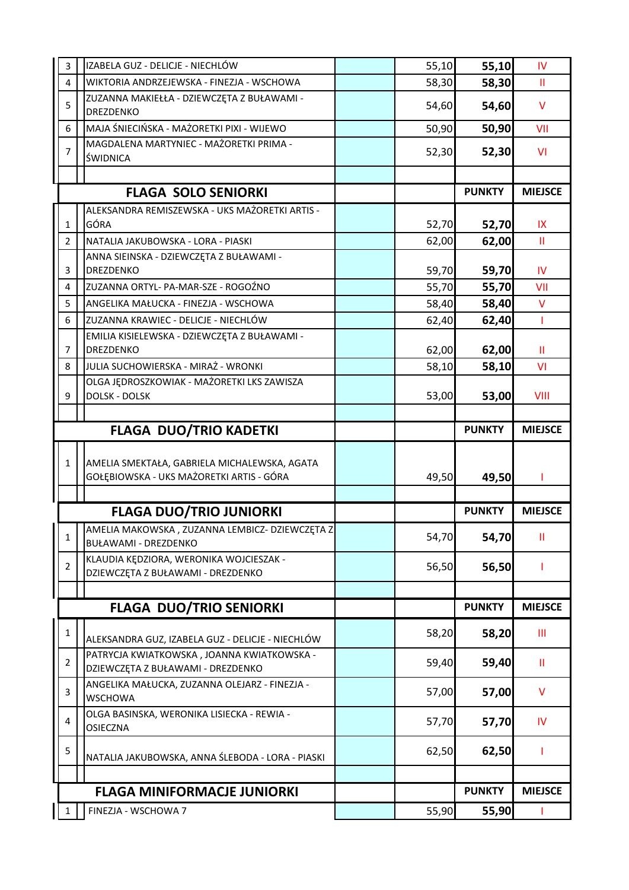| 3              | IZABELA GUZ - DELICJE - NIECHLÓW                                       | 55,10 | 55,10                  | IV             |
|----------------|------------------------------------------------------------------------|-------|------------------------|----------------|
| $\overline{4}$ | WIKTORIA ANDRZEJEWSKA - FINEZJA - WSCHOWA                              | 58,30 | 58,30                  | Ш              |
| 5              | ZUZANNA MAKIEŁŁA - DZIEWCZĘTA Z BUŁAWAMI -<br><b>DREZDENKO</b>         | 54,60 | 54,60                  | V              |
| 6              | MAJA ŚNIECIŃSKA - MAŻORETKI PIXI - WIJEWO                              | 50,90 | 50,90                  | VII            |
| $\overline{7}$ | MAGDALENA MARTYNIEC - MAŻORETKI PRIMA -<br>ŚWIDNICA                    | 52,30 | 52,30                  | <b>VI</b>      |
|                |                                                                        |       |                        |                |
|                | <b>FLAGA SOLO SENIORKI</b>                                             |       | <b>PUNKTY</b>          | <b>MIEJSCE</b> |
|                | ALEKSANDRA REMISZEWSKA - UKS MAŻORETKI ARTIS -                         |       |                        |                |
| $\mathbf{1}$   | GÓRA                                                                   | 52,70 | 52,70                  | IX             |
| $\overline{2}$ | NATALIA JAKUBOWSKA - LORA - PIASKI                                     | 62,00 | 62,00                  | $\mathbf{H}$   |
|                | ANNA SIEINSKA - DZIEWCZĘTA Z BUŁAWAMI -                                |       |                        |                |
| 3              | DREZDENKO                                                              | 59,70 | 59,70                  | IV             |
| 4              | ZUZANNA ORTYL- PA-MAR-SZE - ROGOŹNO                                    | 55,70 | 55,70                  | VII            |
| 5              | ANGELIKA MAŁUCKA - FINEZJA - WSCHOWA                                   | 58,40 | 58,40                  | V              |
| 6              | ZUZANNA KRAWIEC - DELICJE - NIECHLÓW                                   | 62,40 | 62,40                  | T              |
|                | EMILIA KISIELEWSKA - DZIEWCZĘTA Z BUŁAWAMI -                           |       |                        |                |
| $\overline{7}$ | DREZDENKO                                                              | 62,00 | 62,00                  | Ш              |
| 8              | JULIA SUCHOWIERSKA - MIRAŻ - WRONKI                                    | 58,10 | 58,10                  | <b>VI</b>      |
|                | OLGA JĘDROSZKOWIAK - MAŻORETKI LKS ZAWISZA                             |       |                        |                |
| 9              | <b>DOLSK - DOLSK</b>                                                   | 53,00 | 53,00                  | VIII           |
|                |                                                                        |       |                        |                |
|                | <b>FLAGA DUO/TRIO KADETKI</b>                                          |       | <b>PUNKTY</b>          | <b>MIEJSCE</b> |
|                |                                                                        |       |                        |                |
|                |                                                                        |       |                        |                |
| $\mathbf{1}$   | AMELIA SMEKTAŁA, GABRIELA MICHALEWSKA, AGATA                           |       |                        |                |
|                | GOŁĘBIOWSKA - UKS MAŻORETKI ARTIS - GÓRA                               | 49,50 | 49,50                  | ı              |
|                |                                                                        |       |                        |                |
|                | <b>FLAGA DUO/TRIO JUNIORKI</b>                                         |       | <b>PUNKTY</b>          | <b>MIEJSCE</b> |
| 1              | AMELIA MAKOWSKA, ZUZANNA LEMBICZ- DZIEWCZĘTA Z<br>BUŁAWAMI - DREZDENKO | 54,70 | 54,70                  | Ш              |
|                | KLAUDIA KĘDZIORA, WERONIKA WOJCIESZAK -                                |       |                        |                |
| $\overline{2}$ | DZIEWCZĘTA Z BUŁAWAMI - DREZDENKO                                      | 56,50 | 56,50                  |                |
|                |                                                                        |       |                        |                |
|                | <b>FLAGA DUO/TRIO SENIORKI</b>                                         |       | <b>PUNKTY</b>          | <b>MIEJSCE</b> |
| $\mathbf{1}$   | ALEKSANDRA GUZ, IZABELA GUZ - DELICJE - NIECHLÓW                       | 58,20 | 58,20                  | Ш              |
|                | PATRYCJA KWIATKOWSKA, JOANNA KWIATKOWSKA -                             |       |                        |                |
| $\overline{2}$ | DZIEWCZĘTA Z BUŁAWAMI - DREZDENKO                                      | 59,40 | 59,40                  | Ш              |
|                | ANGELIKA MAŁUCKA, ZUZANNA OLEJARZ - FINEZJA -                          |       |                        |                |
| 3              | <b>WSCHOWA</b>                                                         | 57,00 | 57,00                  | v              |
| 4              | OLGA BASINSKA, WERONIKA LISIECKA - REWIA -<br><b>OSIECZNA</b>          | 57,70 | 57,70                  | <b>IV</b>      |
| 5              |                                                                        | 62,50 | 62,50                  |                |
|                | NATALIA JAKUBOWSKA, ANNA ŚLEBODA - LORA - PIASKI                       |       |                        |                |
|                |                                                                        |       |                        |                |
| 1              | <b>FLAGA MINIFORMACJE JUNIORKI</b><br>FINEZJA - WSCHOWA 7              | 55,90 | <b>PUNKTY</b><br>55,90 | <b>MIEJSCE</b> |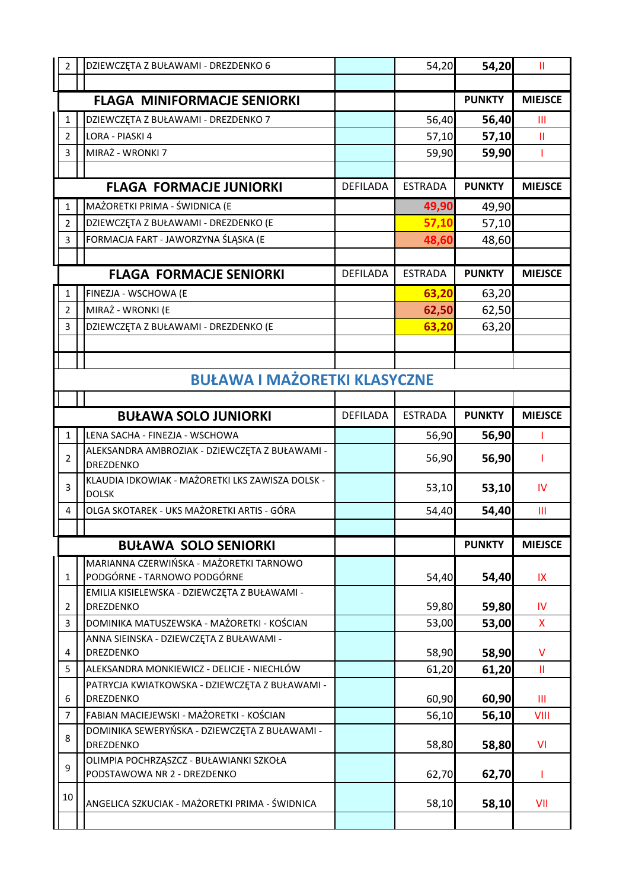| $\overline{2}$ | DZIEWCZĘTA Z BUŁAWAMI - DREZDENKO 6                                    |                 | 54,20          | 54,20         | Ш              |
|----------------|------------------------------------------------------------------------|-----------------|----------------|---------------|----------------|
|                |                                                                        |                 |                |               |                |
|                | <b>FLAGA MINIFORMACJE SENIORKI</b>                                     |                 |                | <b>PUNKTY</b> | <b>MIEJSCE</b> |
| $\mathbf{1}$   | DZIEWCZĘTA Z BUŁAWAMI - DREZDENKO 7                                    |                 | 56,40          | 56,40         | Ш              |
| $\overline{2}$ | <b>LORA - PIASKI 4</b>                                                 |                 | 57,10          | 57,10         | Ш              |
| 3              | MIRAŻ - WRONKI 7                                                       |                 | 59,90          | 59,90         | T              |
|                |                                                                        |                 |                |               |                |
|                | <b>FLAGA FORMACJE JUNIORKI</b>                                         | <b>DEFILADA</b> | <b>ESTRADA</b> | <b>PUNKTY</b> | <b>MIEJSCE</b> |
| $\mathbf{1}$   | MAŻORETKI PRIMA - ŚWIDNICA (E                                          |                 | 49,90          | 49,90         |                |
| $\overline{2}$ | DZIEWCZĘTA Z BUŁAWAMI - DREZDENKO (E                                   |                 | 57,10          | 57,10         |                |
| $\overline{3}$ | FORMACJA FART - JAWORZYNA ŚLĄSKA (E                                    |                 | 48,60          | 48,60         |                |
|                |                                                                        |                 |                |               |                |
|                | <b>FLAGA FORMACJE SENIORKI</b>                                         | <b>DEFILADA</b> | <b>ESTRADA</b> | <b>PUNKTY</b> | <b>MIEJSCE</b> |
| $\mathbf{1}$   | FINEZJA - WSCHOWA (E                                                   |                 | 63,20          | 63,20         |                |
| $\overline{2}$ | MIRAŻ - WRONKI (E                                                      |                 | 62,50          | 62,50         |                |
| 3              | DZIEWCZĘTA Z BUŁAWAMI - DREZDENKO (E                                   |                 | 63,20          | 63,20         |                |
|                |                                                                        |                 |                |               |                |
|                |                                                                        |                 |                |               |                |
|                | <b>BUŁAWA I MAŻORETKI KLASYCZNE</b>                                    |                 |                |               |                |
|                |                                                                        |                 |                |               |                |
|                | <b>BUŁAWA SOLO JUNIORKI</b>                                            | <b>DEFILADA</b> | <b>ESTRADA</b> | <b>PUNKTY</b> | <b>MIEJSCE</b> |
| $\mathbf{1}$   | LENA SACHA - FINEZJA - WSCHOWA                                         |                 | 56,90          | 56,90         | T              |
| $\overline{2}$ | ALEKSANDRA AMBROZIAK - DZIEWCZĘTA Z BUŁAWAMI -<br>DREZDENKO            |                 | 56,90          | 56,90         | ı              |
| 3              | KLAUDIA IDKOWIAK - MAŻORETKI LKS ZAWISZA DOLSK -<br><b>DOLSK</b>       |                 | 53,10          | 53,10         | IV             |
| $\overline{4}$ | OLGA SKOTAREK - UKS MAŻORETKI ARTIS - GÓRA                             |                 | 54,40          | 54,40         | Ш              |
|                |                                                                        |                 |                |               |                |
|                | <b>BUŁAWA SOLO SENIORKI</b>                                            |                 |                | <b>PUNKTY</b> | <b>MIEJSCE</b> |
| $\mathbf{1}$   | MARIANNA CZERWIŃSKA - MAŻORETKI TARNOWO<br>PODGÓRNE - TARNOWO PODGÓRNE |                 | 54,40          | 54,40         | IX             |
| $\overline{2}$ | EMILIA KISIELEWSKA - DZIEWCZĘTA Z BUŁAWAMI -<br><b>DREZDENKO</b>       |                 | 59,80          | 59,80         | IV             |
| $\overline{3}$ | DOMINIKA MATUSZEWSKA - MAŻORETKI - KOŚCIAN                             |                 | 53,00          | 53,00         | X              |
| 4              | ANNA SIEINSKA - DZIEWCZĘTA Z BUŁAWAMI -<br>DREZDENKO                   |                 | 58,90          | 58,90         | $\vee$         |
| 5              | ALEKSANDRA MONKIEWICZ - DELICJE - NIECHLÓW                             |                 | 61,20          | 61,20         | Ш              |
| 6              | PATRYCJA KWIATKOWSKA - DZIEWCZĘTA Z BUŁAWAMI -<br>DREZDENKO            |                 | 60,90          | 60,90         | Ш              |
| $\overline{7}$ | FABIAN MACIEJEWSKI - MAŻORETKI - KOŚCIAN                               |                 | 56,10          | 56,10         | VIII           |
| 8              | DOMINIKA SEWERYŃSKA - DZIEWCZĘTA Z BUŁAWAMI -<br><b>DREZDENKO</b>      |                 | 58,80          | 58,80         | VI             |
| 9              | OLIMPIA POCHRZĄSZCZ - BUŁAWIANKI SZKOŁA<br>PODSTAWOWA NR 2 - DREZDENKO |                 | 62,70          | 62,70         |                |
| 10             | ANGELICA SZKUCIAK - MAŻORETKI PRIMA - ŚWIDNICA                         |                 | 58,10          | 58,10         | VII            |
|                |                                                                        |                 |                |               |                |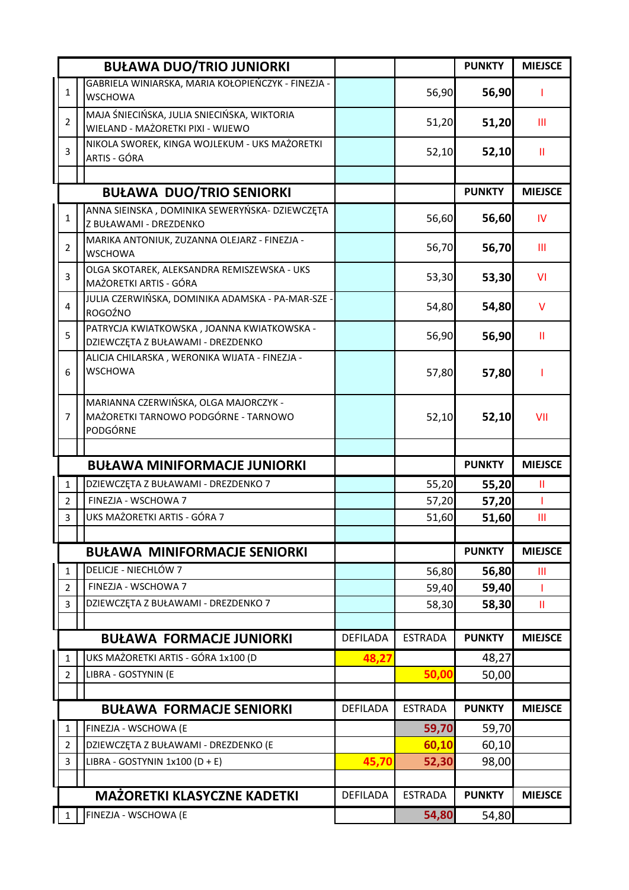|                                | <b>BUŁAWA DUO/TRIO JUNIORKI</b>                                                           |                 |                | <b>PUNKTY</b>  | <b>MIEJSCE</b> |
|--------------------------------|-------------------------------------------------------------------------------------------|-----------------|----------------|----------------|----------------|
| 1                              | GABRIELA WINIARSKA, MARIA KOŁOPIEŃCZYK - FINEZJA -<br><b>WSCHOWA</b>                      |                 | 56,90          | 56,90          | ı              |
| $\overline{2}$                 | MAJA ŚNIECIŃSKA, JULIA SNIECIŃSKA, WIKTORIA<br>WIELAND - MAŻORETKI PIXI - WIJEWO          |                 | 51,20          | 51,20          | Ш              |
| 3                              | NIKOLA SWOREK, KINGA WOJLEKUM - UKS MAŻORETKI<br>ARTIS - GÓRA                             |                 | 52,10          | 52,10          | Ш              |
|                                |                                                                                           |                 |                |                |                |
|                                | <b>BUŁAWA DUO/TRIO SENIORKI</b>                                                           |                 |                | <b>PUNKTY</b>  | <b>MIEJSCE</b> |
| 1                              | ANNA SIEINSKA, DOMINIKA SEWERYŃSKA- DZIEWCZĘTA<br>Z BUŁAWAMI - DREZDENKO                  |                 | 56,60          | 56,60          | IV             |
| $\overline{2}$                 | MARIKA ANTONIUK, ZUZANNA OLEJARZ - FINEZJA -<br><b>WSCHOWA</b>                            |                 | 56,70          | 56,70          | Ш              |
| 3                              | OLGA SKOTAREK, ALEKSANDRA REMISZEWSKA - UKS<br>MAŻORETKI ARTIS - GÓRA                     |                 | 53,30          | 53,30          | VI             |
| $\overline{\mathbf{4}}$        | JULIA CZERWIŃSKA, DOMINIKA ADAMSKA - PA-MAR-SZE -<br>ROGOŹNO                              |                 | 54,80          | 54,80          | $\vee$         |
| 5                              | PATRYCJA KWIATKOWSKA, JOANNA KWIATKOWSKA -<br>DZIEWCZĘTA Z BUŁAWAMI - DREZDENKO           |                 | 56,90          | 56,90          | Ш              |
| 6                              | ALICJA CHILARSKA, WERONIKA WIJATA - FINEZJA -<br><b>WSCHOWA</b>                           |                 | 57,80          | 57,80          |                |
| 7                              | MARIANNA CZERWIŃSKA, OLGA MAJORCZYK -<br>MAŻORETKI TARNOWO PODGÓRNE - TARNOWO<br>PODGÓRNE |                 | 52,10          | 52,10          | VII            |
|                                |                                                                                           |                 |                |                |                |
|                                | <b>BUŁAWA MINIFORMACJE JUNIORKI</b>                                                       |                 |                | <b>PUNKTY</b>  | <b>MIEJSCE</b> |
| $\mathbf{1}$                   | DZIEWCZĘTA Z BUŁAWAMI - DREZDENKO 7                                                       |                 | 55,20          | 55,20          | Ш              |
| $\overline{2}$                 | FINEZJA - WSCHOWA 7                                                                       |                 | 57,20          | 57,20          | T              |
| $\overline{3}$                 | UKS MAŻORETKI ARTIS - GÓRA 7                                                              |                 | 51,60          | 51,60          | $\mathbf{III}$ |
|                                |                                                                                           |                 |                |                |                |
|                                | <b>BUŁAWA MINIFORMACJE SENIORKI</b><br><b>DELICJE - NIECHLÓW 7</b>                        |                 |                | <b>PUNKTY</b>  | <b>MIEJSCE</b> |
| $\mathbf{1}$<br>$\overline{2}$ | FINEZJA - WSCHOWA 7                                                                       |                 | 56,80          | 56,80          | Ш              |
| $\overline{3}$                 | DZIEWCZĘTA Z BUŁAWAMI - DREZDENKO 7                                                       |                 | 59,40<br>58,30 | 59,40<br>58,30 | т<br>Ш         |
|                                |                                                                                           |                 |                |                |                |
|                                | <b>BUŁAWA FORMACJE JUNIORKI</b>                                                           | DEFILADA        | <b>ESTRADA</b> | <b>PUNKTY</b>  | <b>MIEJSCE</b> |
| $\mathbf{1}$                   | UKS MAŻORETKI ARTIS - GÓRA 1x100 (D                                                       | 48,27           |                | 48,27          |                |
| $\overline{2}$                 | LIBRA - GOSTYNIN (E                                                                       |                 | 50,00          | 50,00          |                |
|                                |                                                                                           |                 |                |                |                |
|                                | <b>BUŁAWA FORMACJE SENIORKI</b>                                                           | <b>DEFILADA</b> | <b>ESTRADA</b> | <b>PUNKTY</b>  | <b>MIEJSCE</b> |
| $\mathbf{1}$                   | FINEZJA - WSCHOWA (E                                                                      |                 | 59,70          | 59,70          |                |
| $\overline{2}$                 | DZIEWCZĘTA Z BUŁAWAMI - DREZDENKO (E                                                      |                 | 60,10          | 60,10          |                |
| $\mathbf{3}$                   | LIBRA - GOSTYNIN 1x100 (D + E)                                                            | 45,70           | 52,30          | 98,00          |                |
|                                |                                                                                           |                 |                |                |                |
|                                | <b>MAŻORETKI KLASYCZNE KADETKI</b>                                                        | <b>DEFILADA</b> | <b>ESTRADA</b> | <b>PUNKTY</b>  | <b>MIEJSCE</b> |
| $\parallel$ 1                  | FINEZJA - WSCHOWA (E                                                                      |                 | 54,80          | 54,80          |                |